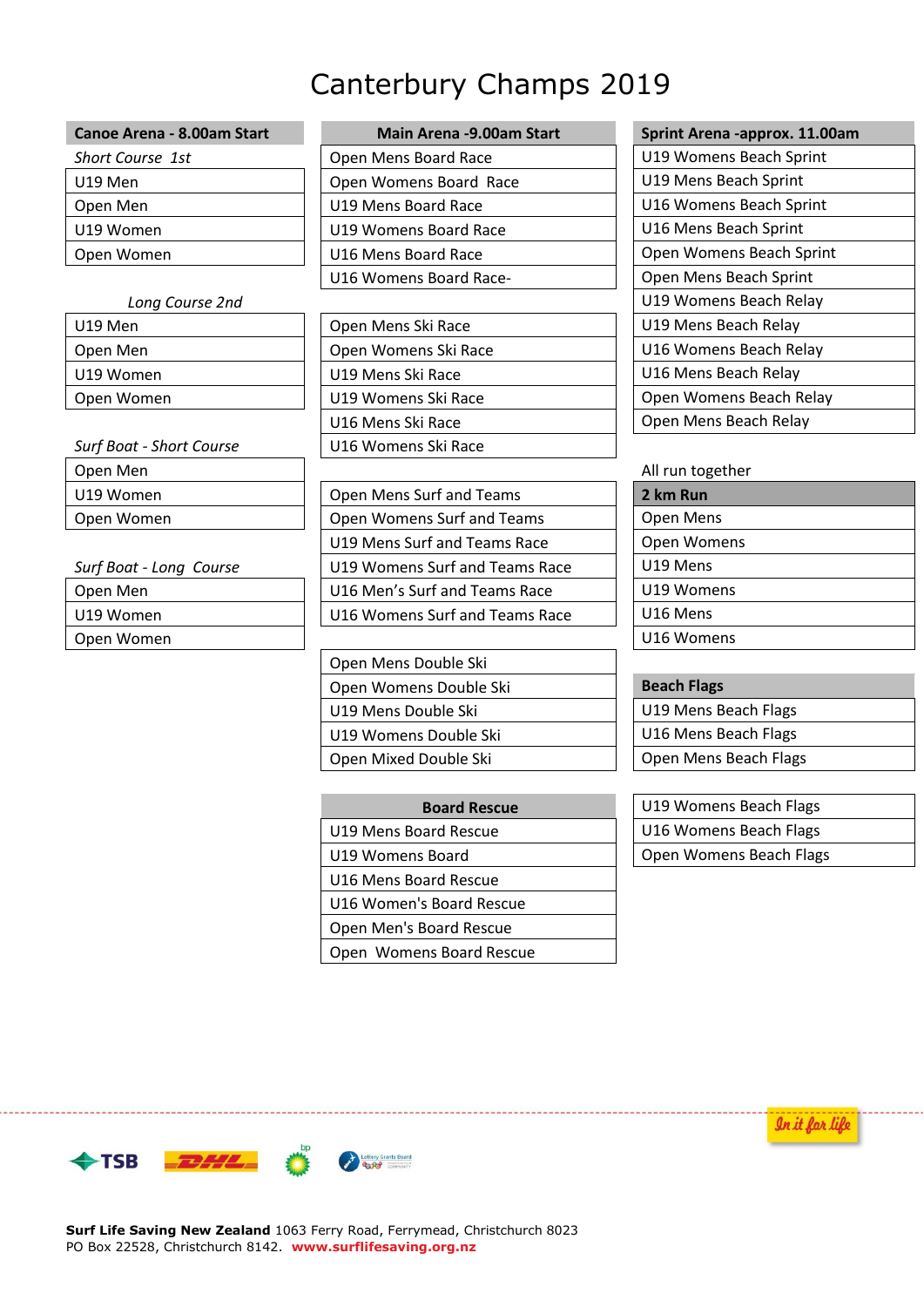# Canterbury Champs 2019

| Canoe Arena - 8.00am Start |
|----------------------------|
| <b>Short Course</b> 1st    |
| U19 Men                    |
| Open Men                   |
| U19 Women                  |
| Open Women                 |
|                            |

| <b>Surf Boat - Short Course</b> | U16 Womens Ski Race        |  |                  |
|---------------------------------|----------------------------|--|------------------|
| Open Men                        |                            |  | All run together |
| U19 Women                       | Open Mens Surf and Teams   |  | 2 km Run         |
| Open Women                      | Open Womens Surf and Teams |  | Open Mens        |

Open Women

**Canoe Arena -9.00am Start Main Arena -approx. 11.00am** *Short Course 1st* Open Mens Board Race U19 Womens Beach Sprint Open Womens Board Race **University 10** U19 Mens Beach Sprint U19 Mens Board Race **University 1** U16 Womens Beach Sprint U19 Womens Board Race **University 19th U16 Mens Beach Sprint** U16 Mens Board Race **DepartMan Line Accord Print** | Open Womens Beach Sprint U16 Womens Board Race-<br>
and Copen Mens Beach Sprint

| U19 Men                         | Open Mens Ski Race   | U19 Mens Beach Relay    |
|---------------------------------|----------------------|-------------------------|
| Open Men                        | Open Womens Ski Race | U16 Womens Beach Relay  |
| U19 Women                       | U19 Mens Ski Race    | U16 Mens Beach Relay    |
| Open Women                      | U19 Womens Ski Race  | Open Womens Beach Relay |
|                                 | U16 Mens Ski Race    | Open Mens Beach Relay   |
| <b>Surf Boat - Short Course</b> | U16 Womens Ski Race  |                         |

**Open Mens Surf and Teams** Open Womens Surf and Teams U19 Mens Surf and Teams Race *Surf Boat - Long Course* | U19 Womens Surf and Teams Race Open Men U16 Men's Surf and Teams Race U19 Women **U16 Womens Surf and Teams Race** 

> Open Mens Double Ski **Open Womens Double Ski** U19 Mens Double Ski U19 Womens Double Ski Open Mixed Double Ski

| <b>Board Rescue</b>      | U19 Womens Beach Flags  |
|--------------------------|-------------------------|
| U19 Mens Board Rescue    | U16 Womens Beach Flags  |
| U19 Womens Board         | Open Womens Beach Flags |
| U16 Mens Board Rescue    |                         |
| U16 Women's Board Rescue |                         |
| Open Men's Board Rescue  |                         |
| Open Womens Board Rescue |                         |

*Long Course 2nd* U19 Womens Beach Relay Open Mens Beach Relay

| All run together |  |
|------------------|--|
| 2 km Run         |  |
| Open Mens        |  |
| Open Womens      |  |
| U19 Mens         |  |
| U19 Womens       |  |
| U16 Mens         |  |
| U16 Womens       |  |

| <b>Beach Flags</b>    |
|-----------------------|
| U19 Mens Beach Flags  |
| U16 Mens Beach Flags  |
| Open Mens Beach Flags |

| <b>Board Rescue</b> | U19 Womens Beach Flags  |  |
|---------------------|-------------------------|--|
| ard Rescue          | U16 Womens Beach Flags  |  |
| Board ،             | Open Womens Beach Flags |  |

In it for life